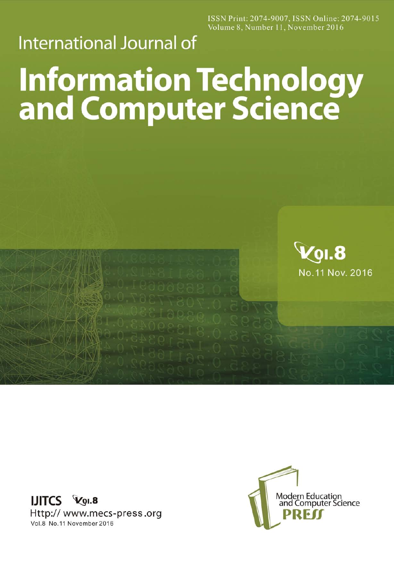ISSN Print: 2074-9007, ISSN Online: 2074-9015 Volume 8, Number 11, November 2016

## **International Journal of**

## **Information Technology<br>and Computer Science**



IJITCS VOI.8 Http:// www.mecs-press.org Vol.8 No.11 November 2016